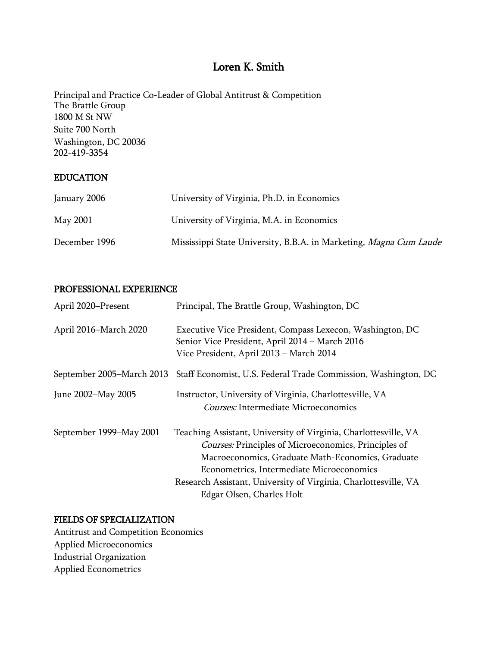# Loren K. Smith

Principal and Practice Co-Leader of Global Antitrust & Competition The Brattle Group 1800 M St NW Suite 700 North Washington, DC 20036 202-419-3354

#### EDUCATION

| January 2006  | University of Virginia, Ph.D. in Economics                                |
|---------------|---------------------------------------------------------------------------|
| May 2001      | University of Virginia, M.A. in Economics                                 |
| December 1996 | Mississippi State University, B.B.A. in Marketing, <i>Magna Cum Laude</i> |

### PROFESSIONAL EXPERIENCE

| April 2020–Present      | Principal, The Brattle Group, Washington, DC                                                                                                                                                                                                                                                                                     |
|-------------------------|----------------------------------------------------------------------------------------------------------------------------------------------------------------------------------------------------------------------------------------------------------------------------------------------------------------------------------|
| April 2016–March 2020   | Executive Vice President, Compass Lexecon, Washington, DC<br>Senior Vice President, April 2014 - March 2016<br>Vice President, April 2013 - March 2014                                                                                                                                                                           |
|                         | September 2005–March 2013 Staff Economist, U.S. Federal Trade Commission, Washington, DC                                                                                                                                                                                                                                         |
| June 2002–May 2005      | Instructor, University of Virginia, Charlottesville, VA<br><b>Courses:</b> Intermediate Microeconomics                                                                                                                                                                                                                           |
| September 1999–May 2001 | Teaching Assistant, University of Virginia, Charlottesville, VA<br><i>Courses:</i> Principles of Microeconomics, Principles of<br>Macroeconomics, Graduate Math-Economics, Graduate<br>Econometrics, Intermediate Microeconomics<br>Research Assistant, University of Virginia, Charlottesville, VA<br>Edgar Olsen, Charles Holt |

### FIELDS OF SPECIALIZATION

Antitrust and Competition Economics Applied Microeconomics Industrial Organization Applied Econometrics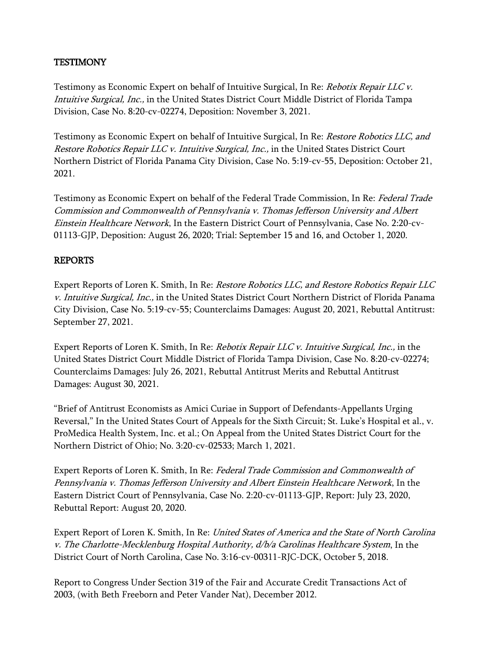### **TESTIMONY**

Testimony as Economic Expert on behalf of Intuitive Surgical, In Re: Rebotix Repair LLC v. Intuitive Surgical, Inc., in the United States District Court Middle District of Florida Tampa Division, Case No. 8:20-cv-02274, Deposition: November 3, 2021.

Testimony as Economic Expert on behalf of Intuitive Surgical, In Re: Restore Robotics LLC, and Restore Robotics Repair LLC v. Intuitive Surgical, Inc., in the United States District Court Northern District of Florida Panama City Division, Case No. 5:19-cv-55, Deposition: October 21, 2021.

Testimony as Economic Expert on behalf of the Federal Trade Commission, In Re: Federal Trade Commission and Commonwealth of Pennsylvania v. Thomas Jefferson University and Albert Einstein Healthcare Network, In the Eastern District Court of Pennsylvania, Case No. 2:20-cv-01113-GJP, Deposition: August 26, 2020; Trial: September 15 and 16, and October 1, 2020.

### REPORTS

Expert Reports of Loren K. Smith, In Re: Restore Robotics LLC, and Restore Robotics Repair LLC v. Intuitive Surgical, Inc., in the United States District Court Northern District of Florida Panama City Division, Case No. 5:19-cv-55; Counterclaims Damages: August 20, 2021, Rebuttal Antitrust: September 27, 2021.

Expert Reports of Loren K. Smith, In Re: Rebotix Repair LLC v. Intuitive Surgical, Inc., in the United States District Court Middle District of Florida Tampa Division, Case No. 8:20-cv-02274; Counterclaims Damages: July 26, 2021, Rebuttal Antitrust Merits and Rebuttal Antitrust Damages: August 30, 2021.

"Brief of Antitrust Economists as Amici Curiae in Support of Defendants-Appellants Urging Reversal," In the United States Court of Appeals for the Sixth Circuit; St. Luke's Hospital et al., v. ProMedica Health System, Inc. et al.; On Appeal from the United States District Court for the Northern District of Ohio; No. 3:20-cv-02533; March 1, 2021.

Expert Reports of Loren K. Smith, In Re: Federal Trade Commission and Commonwealth of Pennsylvania v. Thomas Jefferson University and Albert Einstein Healthcare Network, In the Eastern District Court of Pennsylvania, Case No. 2:20-cv-01113-GJP, Report: July 23, 2020, Rebuttal Report: August 20, 2020.

Expert Report of Loren K. Smith, In Re: United States of America and the State of North Carolina v. The Charlotte-Mecklenburg Hospital Authority, d/b/a Carolinas Healthcare System, In the District Court of North Carolina, Case No. 3:16-cv-00311-RJC-DCK, October 5, 2018.

Report to Congress Under Section 319 of the Fair and Accurate Credit Transactions Act of 2003, (with Beth Freeborn and Peter Vander Nat), December 2012.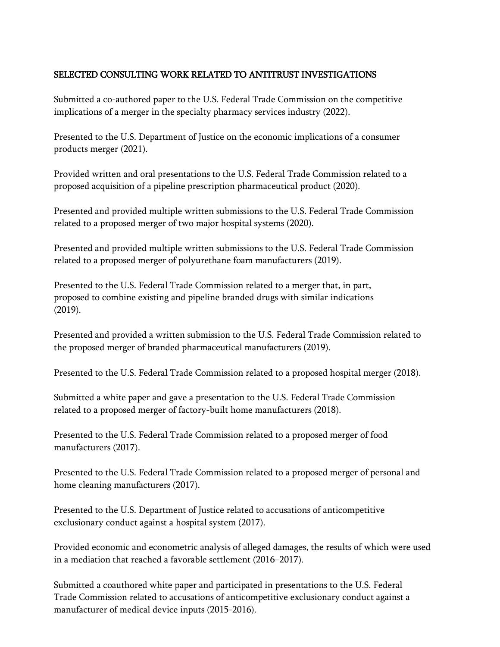### SELECTED CONSULTING WORK RELATED TO ANTITRUST INVESTIGATIONS

Submitted a co-authored paper to the U.S. Federal Trade Commission on the competitive implications of a merger in the specialty pharmacy services industry (2022).

Presented to the U.S. Department of Justice on the economic implications of a consumer products merger (2021).

Provided written and oral presentations to the U.S. Federal Trade Commission related to a proposed acquisition of a pipeline prescription pharmaceutical product (2020).

Presented and provided multiple written submissions to the U.S. Federal Trade Commission related to a proposed merger of two major hospital systems (2020).

Presented and provided multiple written submissions to the U.S. Federal Trade Commission related to a proposed merger of polyurethane foam manufacturers (2019).

Presented to the U.S. Federal Trade Commission related to a merger that, in part, proposed to combine existing and pipeline branded drugs with similar indications (2019).

Presented and provided a written submission to the U.S. Federal Trade Commission related to the proposed merger of branded pharmaceutical manufacturers (2019).

Presented to the U.S. Federal Trade Commission related to a proposed hospital merger (2018).

Submitted a white paper and gave a presentation to the U.S. Federal Trade Commission related to a proposed merger of factory-built home manufacturers (2018).

Presented to the U.S. Federal Trade Commission related to a proposed merger of food manufacturers (2017).

Presented to the U.S. Federal Trade Commission related to a proposed merger of personal and home cleaning manufacturers (2017).

Presented to the U.S. Department of Justice related to accusations of anticompetitive exclusionary conduct against a hospital system (2017).

Provided economic and econometric analysis of alleged damages, the results of which were used in a mediation that reached a favorable settlement (2016–2017).

Submitted a coauthored white paper and participated in presentations to the U.S. Federal Trade Commission related to accusations of anticompetitive exclusionary conduct against a manufacturer of medical device inputs (2015-2016).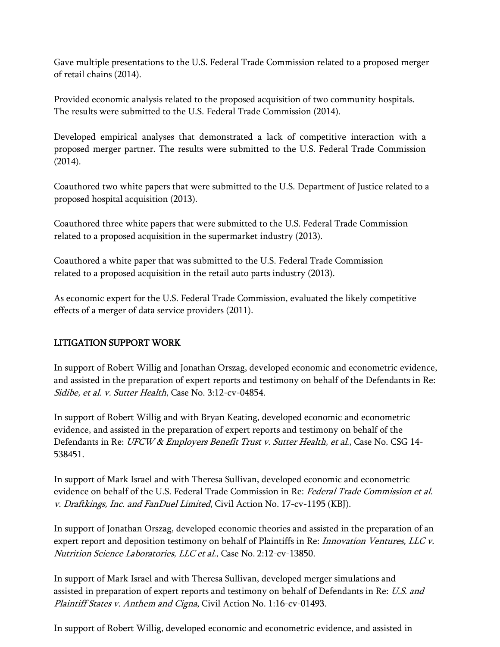Gave multiple presentations to the U.S. Federal Trade Commission related to a proposed merger of retail chains (2014).

Provided economic analysis related to the proposed acquisition of two community hospitals. The results were submitted to the U.S. Federal Trade Commission (2014).

Developed empirical analyses that demonstrated a lack of competitive interaction with a proposed merger partner. The results were submitted to the U.S. Federal Trade Commission (2014).

Coauthored two white papers that were submitted to the U.S. Department of Justice related to a proposed hospital acquisition (2013).

Coauthored three white papers that were submitted to the U.S. Federal Trade Commission related to a proposed acquisition in the supermarket industry (2013).

Coauthored a white paper that was submitted to the U.S. Federal Trade Commission related to a proposed acquisition in the retail auto parts industry (2013).

As economic expert for the U.S. Federal Trade Commission, evaluated the likely competitive effects of a merger of data service providers (2011).

# LITIGATION SUPPORT WORK

In support of Robert Willig and Jonathan Orszag, developed economic and econometric evidence, and assisted in the preparation of expert reports and testimony on behalf of the Defendants in Re: Sidibe, et al. v. Sutter Health, Case No. 3:12-cv-04854.

In support of Robert Willig and with Bryan Keating, developed economic and econometric evidence, and assisted in the preparation of expert reports and testimony on behalf of the Defendants in Re: UFCW & Employers Benefit Trust v. Sutter Health, et al., Case No. CSG 14-538451.

In support of Mark Israel and with Theresa Sullivan, developed economic and econometric evidence on behalf of the U.S. Federal Trade Commission in Re: Federal Trade Commission et al. v. Draftkings, Inc. and FanDuel Limited, Civil Action No. 17-cv-1195 (KBJ).

In support of Jonathan Orszag, developed economic theories and assisted in the preparation of an expert report and deposition testimony on behalf of Plaintiffs in Re: *Innovation Ventures*, *LLC v.* Nutrition Science Laboratories, LLC et al., Case No. 2:12-cv-13850.

In support of Mark Israel and with Theresa Sullivan, developed merger simulations and assisted in preparation of expert reports and testimony on behalf of Defendants in Re: U.S. and Plaintiff States v. Anthem and Cigna, Civil Action No. 1:16-cv-01493.

In support of Robert Willig, developed economic and econometric evidence, and assisted in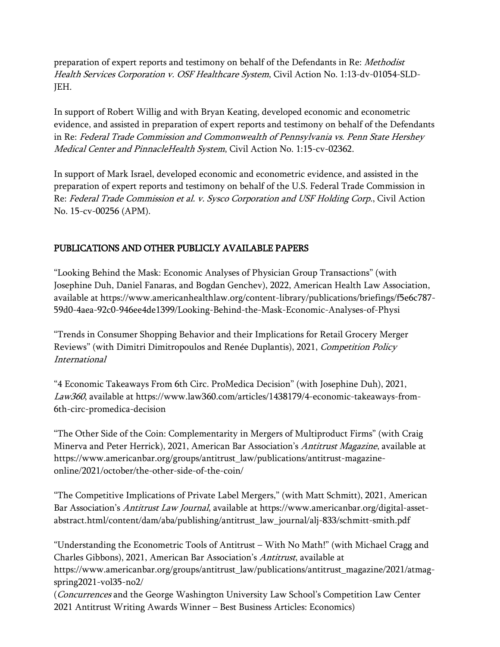preparation of expert reports and testimony on behalf of the Defendants in Re: Methodist Health Services Corporation v. OSF Healthcare System, Civil Action No. 1:13-dv-01054-SLD-JEH.

In support of Robert Willig and with Bryan Keating, developed economic and econometric evidence, and assisted in preparation of expert reports and testimony on behalf of the Defendants in Re: Federal Trade Commission and Commonwealth of Pennsylvania vs. Penn State Hershey Medical Center and PinnacleHealth System, Civil Action No. 1:15-cv-02362.

In support of Mark Israel, developed economic and econometric evidence, and assisted in the preparation of expert reports and testimony on behalf of the U.S. Federal Trade Commission in Re: Federal Trade Commission et al. v. Sysco Corporation and USF Holding Corp., Civil Action No. 15-cv-00256 (APM).

# PUBLICATIONS AND OTHER PUBLICLY AVAILABLE PAPERS

"Looking Behind the Mask: Economic Analyses of Physician Group Transactions" (with Josephine Duh, Daniel Fanaras, and Bogdan Genchev), 2022, American Health Law Association, available at https://www.americanhealthlaw.org/content-library/publications/briefings/f5e6c787- 59d0-4aea-92c0-946ee4de1399/Looking-Behind-the-Mask-Economic-Analyses-of-Physi

"Trends in Consumer Shopping Behavior and their Implications for Retail Grocery Merger Reviews" (with Dimitri Dimitropoulos and Renée Duplantis), 2021, Competition Policy International

"4 Economic Takeaways From 6th Circ. ProMedica Decision" (with Josephine Duh), 2021, Law360, available at https://www.law360.com/articles/1438179/4-economic-takeaways-from-6th-circ-promedica-decision

"The Other Side of the Coin: Complementarity in Mergers of Multiproduct Firms" (with Craig Minerva and Peter Herrick), 2021, American Bar Association's Antitrust Magazine, available at https://www.americanbar.org/groups/antitrust\_law/publications/antitrust-magazineonline/2021/october/the-other-side-of-the-coin/

"The Competitive Implications of Private Label Mergers," (with Matt Schmitt), 2021, American Bar Association's Antitrust Law Journal, available at https://www.americanbar.org/digital-assetabstract.html/content/dam/aba/publishing/antitrust\_law\_journal/alj-833/schmitt-smith.pdf

"Understanding the Econometric Tools of Antitrust – With No Math!" (with Michael Cragg and Charles Gibbons), 2021, American Bar Association's Antitrust, available at https://www.americanbar.org/groups/antitrust\_law/publications/antitrust\_magazine/2021/atmag-

(Concurrences and the George Washington University Law School's Competition Law Center 2021 Antitrust Writing Awards Winner – Best Business Articles: Economics)

spring2021-vol35-no2/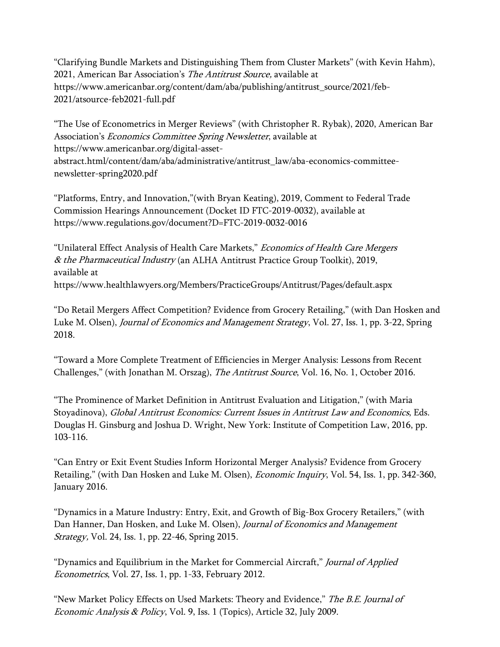"Clarifying Bundle Markets and Distinguishing Them from Cluster Markets" (with Kevin Hahm), 2021, American Bar Association's The Antitrust Source, available at https://www.americanbar.org/content/dam/aba/publishing/antitrust\_source/2021/feb-2021/atsource-feb2021-full.pdf

"The Use of Econometrics in Merger Reviews" (with Christopher R. Rybak), 2020, American Bar Association's Economics Committee Spring Newsletter, available at https://www.americanbar.org/digital-assetabstract.html/content/dam/aba/administrative/antitrust\_law/aba-economics-committeenewsletter-spring2020.pdf

"Platforms, Entry, and Innovation,"(with Bryan Keating), 2019, Comment to Federal Trade Commission Hearings Announcement (Docket ID FTC-2019-0032), available at <https://www.regulations.gov/document?D=FTC-2019-0032-0016>

"Unilateral Effect Analysis of Health Care Markets," Economics of Health Care Mergers & the Pharmaceutical Industry (an ALHA Antitrust Practice Group Toolkit), 2019, available at <https://www.healthlawyers.org/Members/PracticeGroups/Antitrust/Pages/default.aspx>

"Do Retail Mergers Affect Competition? Evidence from Grocery Retailing," (with Dan Hosken and Luke M. Olsen), *Journal of Economics and Management Strategy*, Vol. 27, Iss. 1, pp. 3-22, Spring 2018.

"Toward a More Complete Treatment of Efficiencies in Merger Analysis: Lessons from Recent Challenges," (with Jonathan M. Orszag), The Antitrust Source, Vol. 16, No. 1, October 2016.

"The Prominence of Market Definition in Antitrust Evaluation and Litigation," (with Maria Stoyadinova), Global Antitrust Economics: Current Issues in Antitrust Law and Economics, Eds. Douglas H. Ginsburg and Joshua D. Wright, New York: Institute of Competition Law, 2016, pp. 103-116.

"Can Entry or Exit Event Studies Inform Horizontal Merger Analysis? Evidence from Grocery Retailing," (with Dan Hosken and Luke M. Olsen), *Economic Inquiry*, Vol. 54, Iss. 1, pp. 342-360, January 2016.

"Dynamics in a Mature Industry: Entry, Exit, and Growth of Big-Box Grocery Retailers," (with Dan Hanner, Dan Hosken, and Luke M. Olsen), Journal of Economics and Management Strategy, Vol. 24, Iss. 1, pp. 22-46, Spring 2015.

"Dynamics and Equilibrium in the Market for Commercial Aircraft," Journal of Applied Econometrics, Vol. 27, Iss. 1, pp. 1-33, February 2012.

"New Market Policy Effects on Used Markets: Theory and Evidence," The B.E. Journal of Economic Analysis & Policy, Vol. 9, Iss. 1 (Topics), Article 32, July 2009.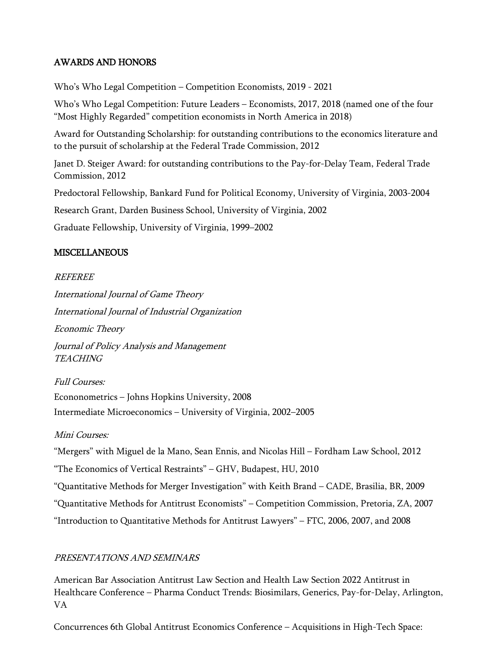### AWARDS AND HONORS

Who's Who Legal Competition – Competition Economists, 2019 - 2021

Who's Who Legal Competition: Future Leaders – Economists, 2017, 2018 (named one of the four "Most Highly Regarded" competition economists in North America in 2018)

Award for Outstanding Scholarship: for outstanding contributions to the economics literature and to the pursuit of scholarship at the Federal Trade Commission, 2012

Janet D. Steiger Award: for outstanding contributions to the Pay-for-Delay Team, Federal Trade Commission, 2012

Predoctoral Fellowship, Bankard Fund for Political Economy, University of Virginia, 2003-2004

Research Grant, Darden Business School, University of Virginia, 2002

Graduate Fellowship, University of Virginia, 1999–2002

### **MISCELLANEOUS**

#### REFEREE

International Journal of Game Theory International Journal of Industrial Organization Economic Theory Journal of Policy Analysis and Management **TEACHING** 

Full Courses: Econonometrics – Johns Hopkins University, 2008 Intermediate Microeconomics – University of Virginia, 2002–2005

### Mini Courses:

"Mergers" with Miguel de la Mano, Sean Ennis, and Nicolas Hill – Fordham Law School, 2012 "The Economics of Vertical Restraints" – GHV, Budapest, HU, 2010 "Quantitative Methods for Merger Investigation" with Keith Brand – CADE, Brasilia, BR, 2009 "Quantitative Methods for Antitrust Economists" – Competition Commission, Pretoria, ZA, 2007 "Introduction to Quantitative Methods for Antitrust Lawyers" – FTC, 2006, 2007, and 2008

### PRESENTATIONS AND SEMINARS

American Bar Association Antitrust Law Section and Health Law Section 2022 Antitrust in Healthcare Conference – Pharma Conduct Trends: Biosimilars, Generics, Pay-for-Delay, Arlington, VA

Concurrences 6th Global Antitrust Economics Conference – Acquisitions in High-Tech Space: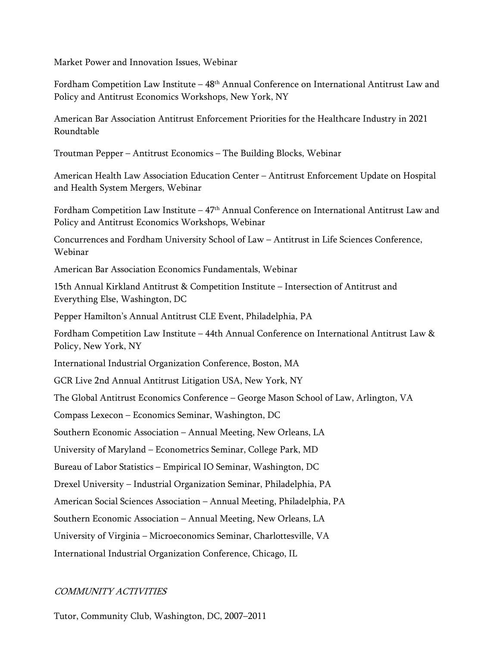Market Power and Innovation Issues, Webinar

Fordham Competition Law Institute –  $48<sup>th</sup>$  Annual Conference on International Antitrust Law and Policy and Antitrust Economics Workshops, New York, NY

American Bar Association Antitrust Enforcement Priorities for the Healthcare Industry in 2021 Roundtable

Troutman Pepper – Antitrust Economics – The Building Blocks, Webinar

American Health Law Association Education Center – Antitrust Enforcement Update on Hospital and Health System Mergers, Webinar

Fordham Competition Law Institute –  $47<sup>th</sup>$  Annual Conference on International Antitrust Law and Policy and Antitrust Economics Workshops, Webinar

Concurrences and Fordham University School of Law – Antitrust in Life Sciences Conference, Webinar

American Bar Association Economics Fundamentals, Webinar

15th Annual Kirkland Antitrust & Competition Institute – Intersection of Antitrust and Everything Else, Washington, DC

Pepper Hamilton's Annual Antitrust CLE Event, Philadelphia, PA

Fordham Competition Law Institute – 44th Annual Conference on International Antitrust Law & Policy, New York, NY

International Industrial Organization Conference, Boston, MA

GCR Live 2nd Annual Antitrust Litigation USA, New York, NY

The Global Antitrust Economics Conference – George Mason School of Law, Arlington, VA

Compass Lexecon – Economics Seminar, Washington, DC

Southern Economic Association – Annual Meeting, New Orleans, LA

University of Maryland – Econometrics Seminar, College Park, MD

Bureau of Labor Statistics – Empirical IO Seminar, Washington, DC

Drexel University – Industrial Organization Seminar, Philadelphia, PA

American Social Sciences Association – Annual Meeting, Philadelphia, PA

Southern Economic Association – Annual Meeting, New Orleans, LA

University of Virginia – Microeconomics Seminar, Charlottesville, VA

International Industrial Organization Conference, Chicago, IL

### COMMUNITY ACTIVITIES

Tutor, Community Club, Washington, DC, 2007–2011